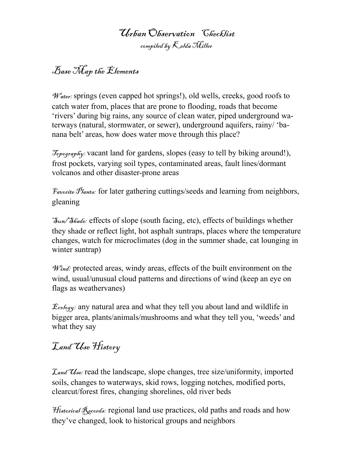### Urban Observation Checklist compiled by Kelda Miller

## Base Map the Elements

 $\mathcal{W}^{a}_{\text{ater}}$ : springs (even capped hot springs!), old wells, creeks, good roofs to catch water from, places that are prone to flooding, roads that become 'rivers' during big rains, any source of clean water, piped underground waterways (natural, stormwater, or sewer), underground aquifers, rainy/ 'banana belt' areas, how does water move through this place?

Topography: vacant land for gardens, slopes (easy to tell by biking around!), frost pockets, varying soil types, contaminated areas, fault lines/dormant volcanos and other disaster-prone areas

 $\mathcal{F}_{\textit{avorite}}$   $\mathcal{F}_{\textit{lants}}$ : for later gathering cuttings/seeds and learning from neighbors, gleaning

 $\mathcal{S}_{un}/\mathcal{S}_{\text{H}^{ad}\mathcal{C}}$ : effects of slope (south facing, etc), effects of buildings whether they shade or reflect light, hot asphalt suntraps, places where the temperature changes, watch for microclimates (dog in the summer shade, cat lounging in winter suntrap)

 $\mathcal{W}_{ind}^{\varrho}$ : protected areas, windy areas, effects of the built environment on the wind, usual/unusual cloud patterns and directions of wind (keep an eye on flags as weathervanes)

 $\mathcal{E}_{c\circ\log y}$  any natural area and what they tell you about land and wildlife in bigger area, plants/animals/mushrooms and what they tell you, 'weeds' and what they say

# Land Use History

 $\mathcal{I}_{and}\mathcal{U}_{se}$ : read the landscape, slope changes, tree size/uniformity, imported soils, changes to waterways, skid rows, logging notches, modified ports, clearcut/forest fires, changing shorelines, old river beds

*Historical* Records: regional land use practices, old paths and roads and how they've changed, look to historical groups and neighbors